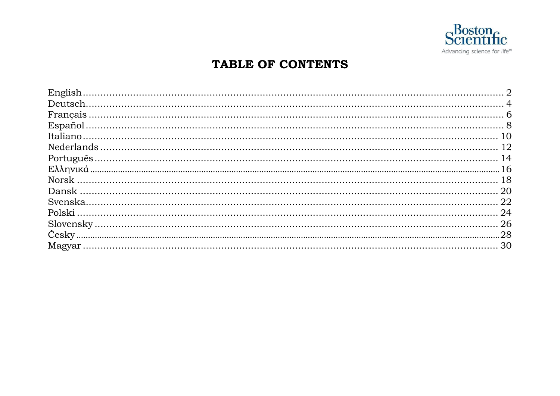

## TABLE OF CONTENTS

| 22 |
|----|
|    |
|    |
|    |
|    |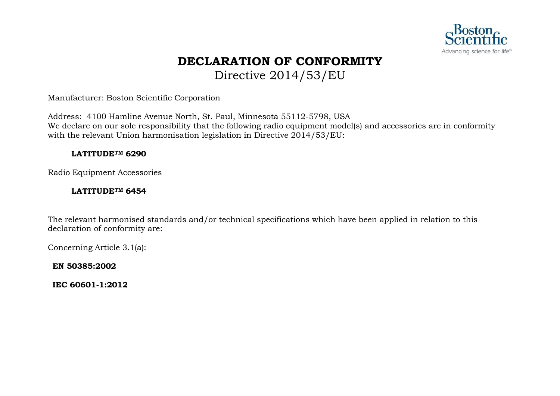

## **DECLARATION OF CONFORMITY** Directive 2014/53/EU

Manufacturer: Boston Scientific Corporation

Address: 4100 Hamline Avenue North, St. Paul, Minnesota 55112-5798, USA We declare on our sole responsibility that the following radio equipment model(s) and accessories are in conformity with the relevant Union harmonisation legislation in Directive 2014/53/EU:

#### **LATITUDETM 6290**

Radio Equipment Accessories

#### **LATITUDETM 6454**

The relevant harmonised standards and/or technical specifications which have been applied in relation to this declaration of conformity are:

Concerning Article 3.1(a):

**EN 50385:2002**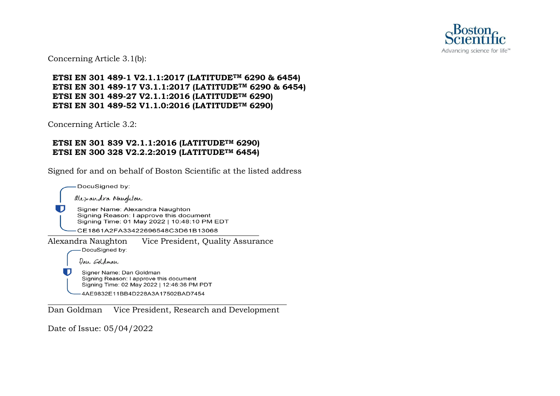

Concerning Article 3.1(b):

**ETSI EN 301 489-1 V2.1.1:2017 (LATITUDETM 6290 & 6454) ETSI EN 301 489-17 V3.1.1:2017 (LATITUDETM 6290 & 6454) ETSI EN 301 489-27 V2.1.1:2016 (LATITUDETM 6290) ETSI EN 301 489-52 V1.1.0:2016 (LATITUDETM 6290)**

Concerning Article 3.2:

#### **ETSI EN 301 839 V2.1.1:2016 (LATITUDETM 6290) ETSI EN 300 328 V2.2.2:2019 (LATITUDETM 6454)**

Signed for and on behalf of Boston Scientific at the listed address

DocuSigned by: alexandra Naughton J Signer Name: Alexandra Naughton Signing Reason: I approve this document Signing Time: 01 May 2022 | 10:48:10 PM EDT CE1861A2FA33422696548C3D61B13068 Alexandra Naughton Vice President, Quality Assurance<br>
— DocuSigned by: Dan Goldman l D Signer Name: Dan Goldman Signing Reason: I approve this document Signing Time: 02 May 2022 | 12:46:36 PM PDT 4AE9832E11BB4D228A3A17502BAD7454

Dan Goldman Vice President, Research and Development

Date of Issue: 05/04/2022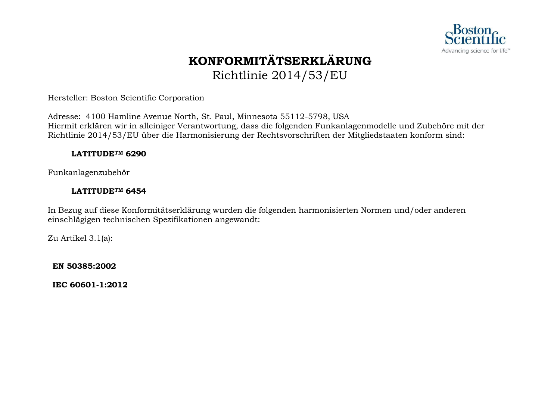

## **KONFORMITÄTSERKLÄRUNG** Richtlinie 2014/53/EU

Hersteller: Boston Scientific Corporation

Adresse: 4100 Hamline Avenue North, St. Paul, Minnesota 55112-5798, USA Hiermit erklären wir in alleiniger Verantwortung, dass die folgenden Funkanlagenmodelle und Zubehöre mit der Richtlinie 2014/53/EU über die Harmonisierung der Rechtsvorschriften der Mitgliedstaaten konform sind:

#### **LATITUDETM 6290**

Funkanlagenzubehör

#### **LATITUDETM 6454**

In Bezug auf diese Konformitätserklärung wurden die folgenden harmonisierten Normen und/oder anderen einschlägigen technischen Spezifikationen angewandt:

Zu Artikel 3.1(a):

**EN 50385:2002**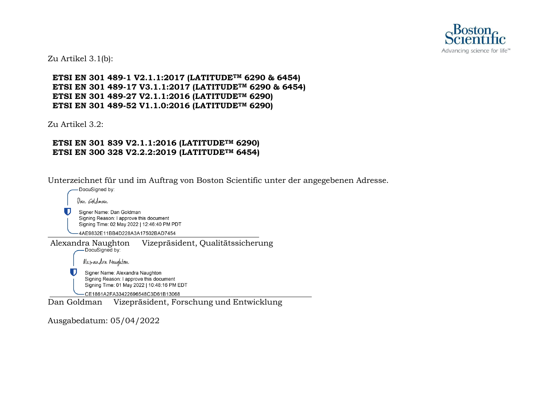

Zu Artikel 3.1(b):

**ETSI EN 301 489-1 V2.1.1:2017 (LATITUDETM 6290 & 6454) ETSI EN 301 489-17 V3.1.1:2017 (LATITUDETM 6290 & 6454) ETSI EN 301 489-27 V2.1.1:2016 (LATITUDETM 6290) ETSI EN 301 489-52 V1.1.0:2016 (LATITUDETM 6290)**

Zu Artikel 3.2:

#### **ETSI EN 301 839 V2.1.1:2016 (LATITUDETM 6290) ETSI EN 300 328 V2.2.2:2019 (LATITUDETM 6454)**

Unterzeichnet für und im Auftrag von Boston Scientific unter der angegebenen Adresse.



Ausgabedatum: 05/04/2022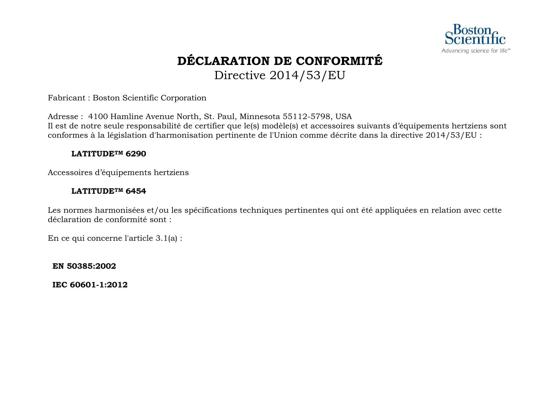

## **DÉCLARATION DE CONFORMITÉ** Directive 2014/53/EU

Fabricant : Boston Scientific Corporation

Adresse : 4100 Hamline Avenue North, St. Paul, Minnesota 55112-5798, USA Il est de notre seule responsabilité de certifier que le(s) modèle(s) et accessoires suivants d'équipements hertziens sont conformes à la législation d'harmonisation pertinente de l'Union comme décrite dans la directive 2014/53/EU :

#### **LATITUDETM 6290**

Accessoires d'équipements hertziens

#### **LATITUDETM 6454**

Les normes harmonisées et/ou les spécifications techniques pertinentes qui ont été appliquées en relation avec cette déclaration de conformité sont :

En ce qui concerne l'article 3.1(a) :

**EN 50385:2002**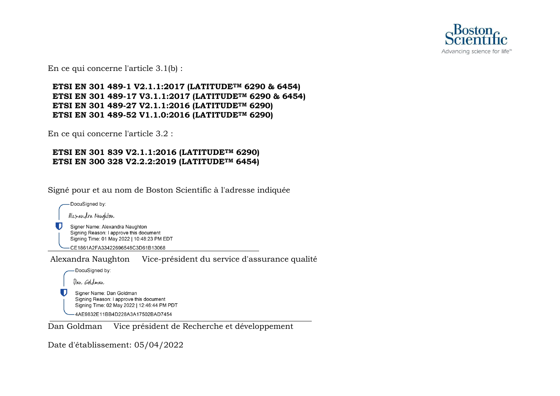

En ce qui concerne l'article 3.1(b) :

#### **ETSI EN 301 489-1 V2.1.1:2017 (LATITUDETM 6290 & 6454) ETSI EN 301 489-17 V3.1.1:2017 (LATITUDETM 6290 & 6454) ETSI EN 301 489-27 V2.1.1:2016 (LATITUDETM 6290) ETSI EN 301 489-52 V1.1.0:2016 (LATITUDETM 6290)**

En ce qui concerne l'article 3.2 :

#### **ETSI EN 301 839 V2.1.1:2016 (LATITUDETM 6290) ETSI EN 300 328 V2.2.2:2019 (LATITUDETM 6454)**

Signé pour et au nom de Boston Scientific à l'adresse indiquée

| DocuSigned by:                                                                                                            |
|---------------------------------------------------------------------------------------------------------------------------|
| alesandra Naughton                                                                                                        |
| Signer Name: Alexandra Naughton<br>Signing Reason: I approve this document<br>Signing Time: 01 May 2022   10:48:23 PM EDT |
| CE1861A2FA33422696548C3D61B13068                                                                                          |
| Vice-président du service d'assurance qualité<br>Alexandra Naughton                                                       |
| DocuSigned by:                                                                                                            |
| Dan <i>Go</i> ldman                                                                                                       |
| Signer Name: Dan Goldman<br>Signing Reason: I approve this document<br>Signing Time: 02 May 2022   12:46:44 PM PDT        |
| 4AE9832E11BB4D228A3A17502BAD7454                                                                                          |

Dan Goldman Vice président de Recherche et développement

Date d'établissement: 05/04/2022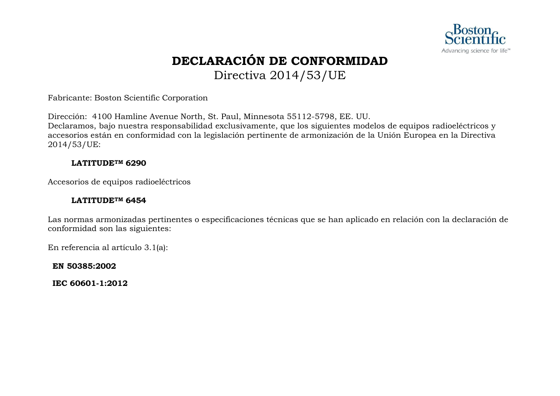

## **DECLARACIÓN DE CONFORMIDAD** Directiva 2014/53/UE

Fabricante: Boston Scientific Corporation

Dirección: 4100 Hamline Avenue North, St. Paul, Minnesota 55112-5798, EE. UU. Declaramos, bajo nuestra responsabilidad exclusivamente, que los siguientes modelos de equipos radioeléctricos y accesorios están en conformidad con la legislación pertinente de armonización de la Unión Europea en la Directiva 2014/53/UE:

#### **LATITUDETM 6290**

Accesorios de equipos radioeléctricos

#### **LATITUDETM 6454**

Las normas armonizadas pertinentes o especificaciones técnicas que se han aplicado en relación con la declaración de conformidad son las siguientes:

En referencia al artículo 3.1(a):

**EN 50385:2002**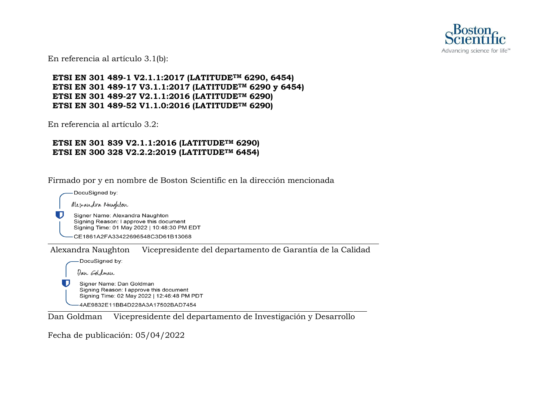

En referencia al artículo 3.1(b):

**ETSI EN 301 489-1 V2.1.1:2017 (LATITUDETM 6290, 6454) ETSI EN 301 489-17 V3.1.1:2017 (LATITUDETM 6290 y 6454) ETSI EN 301 489-27 V2.1.1:2016 (LATITUDETM 6290) ETSI EN 301 489-52 V1.1.0:2016 (LATITUDETM 6290)**

En referencia al artículo 3.2:

#### **ETSI EN 301 839 V2.1.1:2016 (LATITUDETM 6290) ETSI EN 300 328 V2.2.2:2019 (LATITUDETM 6454)**

Firmado por y en nombre de Boston Scientific en la dirección mencionada

DocuSigned by:

53

alexandra Naughton

Signer Name: Alexandra Naughton Signing Reason: I approve this document Signing Time: 01 May 2022 | 10:48:30 PM EDT

CE1861A2EA33422696548C3D61B13068

Alexandra Naughton Vicepresidente del departamento de Garantía de la Calidad

DocuSigned by:

Dan Goldman

U Signer Name: Dan Goldman Signing Reason: I approve this document Signing Time: 02 May 2022 | 12:46:48 PM PDT 4AE9832E11BB4D228A3A17502BAD7454

Dan Goldman Vicepresidente del departamento de Investigación y Desarrollo

Fecha de publicación: 05/04/2022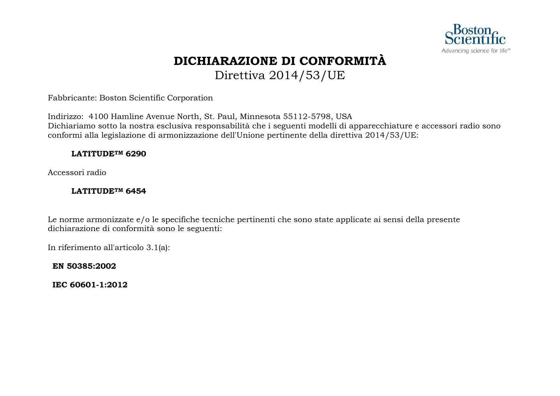

## **DICHIARAZIONE DI CONFORMITÀ** Direttiva 2014/53/UE

Fabbricante: Boston Scientific Corporation

Indirizzo: 4100 Hamline Avenue North, St. Paul, Minnesota 55112-5798, USA Dichiariamo sotto la nostra esclusiva responsabilità che i seguenti modelli di apparecchiature e accessori radio sono conformi alla legislazione di armonizzazione dell'Unione pertinente della direttiva 2014/53/UE:

#### **LATITUDETM 6290**

Accessori radio

#### **LATITUDETM 6454**

Le norme armonizzate e/o le specifiche tecniche pertinenti che sono state applicate ai sensi della presente dichiarazione di conformità sono le seguenti:

In riferimento all'articolo 3.1(a):

**EN 50385:2002**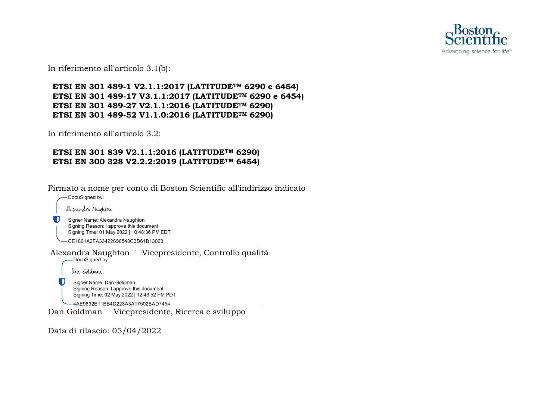

In riferimento all'articolo 3.1(b):

#### **ETSI EN 301 489-1 V2.1.1:2017 (LATITUDETM 6290 e 6454) ETSI EN 301 489-17 V3.1.1:2017 (LATITUDETM 6290 e 6454) ETSI EN 301 489-27 V2.1.1:2016 (LATITUDETM 6290) ETSI EN 301 489-52 V1.1.0:2016 (LATITUDETM 6290)**

In riferimento all'articolo 3.2:

#### **ETSI EN 301 839 V2.1.1:2016 (LATITUDETM 6290) ETSI EN 300 328 V2.2.2:2019 (LATITUDETM 6454)**

Firmato a nome per conto di Boston Scientific all'indirizzo indicato DocuSigned by:

Alexandra Naughton

Signer Name: Alexandra Naughton Signing Reason: I approve this document Signing Time: 01 May 2022 | 10:48:36 PM EDT

-CE1861A2FA33422696548C3D61B13068

Alexandra Naughton Vicepresidente, Controllo qualità Dan Goldman

> Signer Name: Dan Goldman Signing Reason: I approve this document Signing Time: 02 May 2022 | 12:46:52 PM PDT

-4AE9832E11BB4D228A3A17502BAD7454

Dan Goldman Vicepresidente, Ricerca e sviluppo

Data di rilascio: 05/04/2022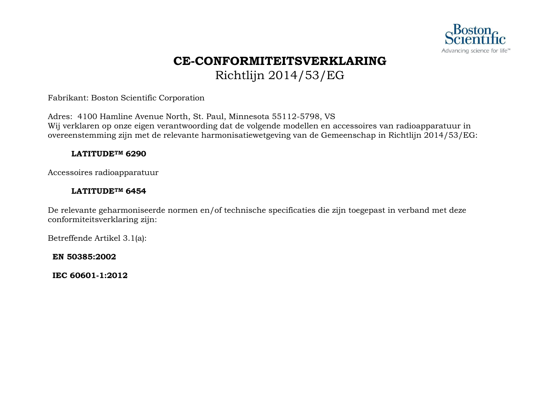

## **CE-CONFORMITEITSVERKLARING** Richtlijn 2014/53/EG

Fabrikant: Boston Scientific Corporation

Adres: 4100 Hamline Avenue North, St. Paul, Minnesota 55112-5798, VS Wij verklaren op onze eigen verantwoording dat de volgende modellen en accessoires van radioapparatuur in overeenstemming zijn met de relevante harmonisatiewetgeving van de Gemeenschap in Richtlijn 2014/53/EG:

#### **LATITUDETM 6290**

Accessoires radioapparatuur

#### **LATITUDETM 6454**

De relevante geharmoniseerde normen en/of technische specificaties die zijn toegepast in verband met deze conformiteitsverklaring zijn:

Betreffende Artikel 3.1(a):

**EN 50385:2002**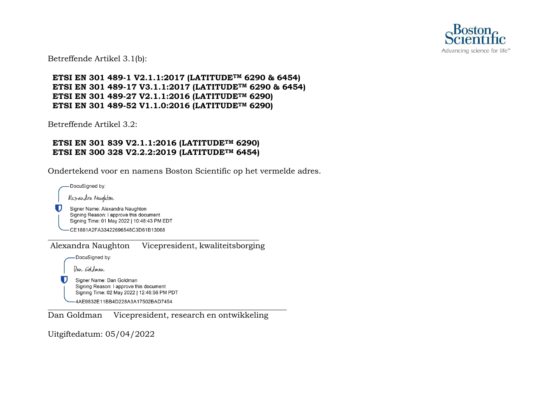

Betreffende Artikel 3.1(b):

**ETSI EN 301 489-1 V2.1.1:2017 (LATITUDETM 6290 & 6454) ETSI EN 301 489-17 V3.1.1:2017 (LATITUDETM 6290 & 6454) ETSI EN 301 489-27 V2.1.1:2016 (LATITUDETM 6290) ETSI EN 301 489-52 V1.1.0:2016 (LATITUDETM 6290)**

Betreffende Artikel 3.2:

#### **ETSI EN 301 839 V2.1.1:2016 (LATITUDETM 6290) ETSI EN 300 328 V2.2.2:2019 (LATITUDETM 6454)**

Ondertekend voor en namens Boston Scientific op het vermelde adres.

-DocuSigned by:

Alexandra Naughton

U. Signer Name: Alexandra Naughton Signing Reason: I approve this document Signing Time: 01 May 2022 | 10:48:43 PM EDT

-CE1861A2FA33422696548C3D61B13068

Alexandra Naughton Vicepresident, kwaliteitsborging

-DocuSigned by:

Dan Goldman

O

Signer Name: Dan Goldman Signing Reason: I approve this document Signing Time: 02 May 2022 | 12:46:56 PM PDT -4AE9832E11BB4D228A3A17502BAD7454

Dan Goldman Vicepresident, research en ontwikkeling

Uitgiftedatum: 05/04/2022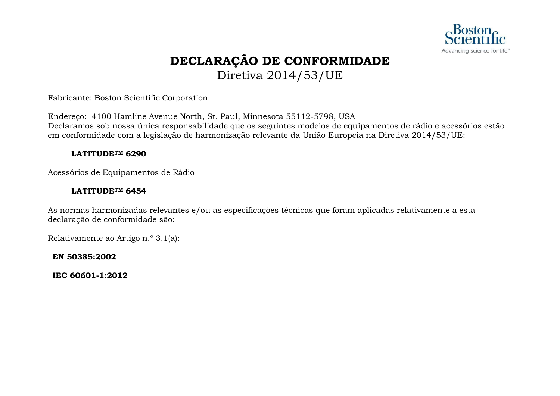

## **DECLARAÇÃO DE CONFORMIDADE** Diretiva 2014/53/UE

Fabricante: Boston Scientific Corporation

Endereço: 4100 Hamline Avenue North, St. Paul, Minnesota 55112-5798, USA Declaramos sob nossa única responsabilidade que os seguintes modelos de equipamentos de rádio e acessórios estão em conformidade com a legislação de harmonização relevante da União Europeia na Diretiva 2014/53/UE:

#### **LATITUDETM 6290**

Acessórios de Equipamentos de Rádio

#### **LATITUDETM 6454**

As normas harmonizadas relevantes e/ou as especificações técnicas que foram aplicadas relativamente a esta declaração de conformidade são:

Relativamente ao Artigo n.º 3.1(a):

**EN 50385:2002**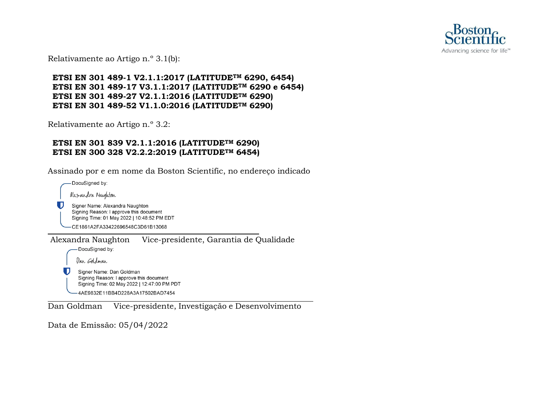

Relativamente ao Artigo n.º 3.1(b):

**ETSI EN 301 489-1 V2.1.1:2017 (LATITUDETM 6290, 6454) ETSI EN 301 489-17 V3.1.1:2017 (LATITUDETM 6290 e 6454) ETSI EN 301 489-27 V2.1.1:2016 (LATITUDETM 6290) ETSI EN 301 489-52 V1.1.0:2016 (LATITUDETM 6290)**

Relativamente ao Artigo n.º 3.2:

#### **ETSI EN 301 839 V2.1.1:2016 (LATITUDETM 6290) ETSI EN 300 328 V2.2.2:2019 (LATITUDETM 6454)**

Assinado por e em nome da Boston Scientific, no endereço indicado

DocuSigned by: Alexandra Naughton O. Signer Name: Alexandra Naughton Signing Reason: I approve this document Signing Time: 01 May 2022 | 10:48:52 PM EDT -CE1861A2FA33422696548C3D61B13068 Alexandra Naughton Vice-presidente, Garantia de Qualidade -DocuSigned by: Dan Goldman U Signer Name: Dan Goldman Signing Reason: I approve this document Signing Time: 02 May 2022 | 12:47:00 PM PDT -4AE9832E11BB4D228A3A17502BAD7454

Dan Goldman Vice-presidente, Investigação e Desenvolvimento

Data de Emissão: 05/04/2022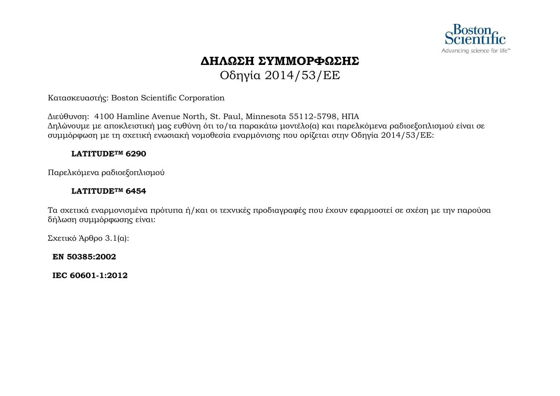

## **ΔΗΛΩΣΗ ΣΥΜΜΟΡΦΩΣΗΣ** Οδηγία 2014/53/EΕ

Κατασκευαστής: Boston Scientific Corporation

Διεύθυνση: 4100 Hamline Avenue North, St. Paul, Minnesota 55112-5798, ΗΠΑ Δηλώνουμε με αποκλειστική μας ευθύνη ότι το/τα παρακάτω μοντέλο(α) και παρελκόμενα ραδιοεξοπλισμού είναι σε συμμόρφωση με τη σχετική ενωσιακή νομοθεσία εναρμόνισης που ορίζεται στην Οδηγία 2014/53/EΕ:

#### **LATITUDETM 6290**

Παρελκόμενα ραδιοεξοπλισμού

#### **LATITUDETM 6454**

Τα σχετικά εναρμονισμένα πρότυπα ή/και οι τεχνικές προδιαγραφές που έχουν εφαρμοστεί σε σχέση με την παρούσα δήλωση συμμόρφωσης είναι:

Σχετικό Άρθρο 3.1(α):

**EN 50385:2002**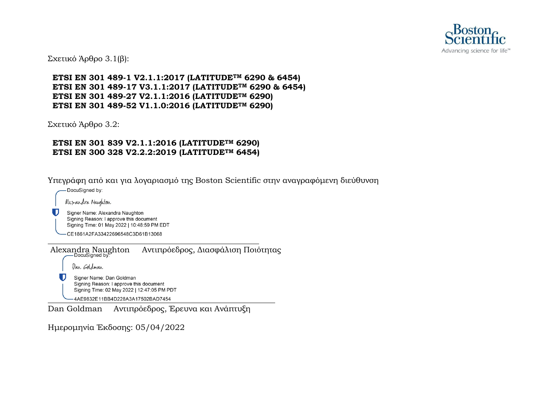

Σχετικό Άρθρο 3.1(β):

**ETSI EN 301 489-1 V2.1.1:2017 (LATITUDETM 6290 & 6454) ETSI EN 301 489-17 V3.1.1:2017 (LATITUDETM 6290 & 6454) ETSI EN 301 489-27 V2.1.1:2016 (LATITUDETM 6290) ETSI EN 301 489-52 V1.1.0:2016 (LATITUDETM 6290)**

Σχετικό Άρθρο 3.2:

#### **ETSI EN 301 839 V2.1.1:2016 (LATITUDETM 6290) ETSI EN 300 328 V2.2.2:2019 (LATITUDETM 6454)**

Υπεγράφη από και για λογαριασμό της Boston Scientific στην αναγραφόμενη διεύθυνση

-DocuSigned by:

Alexandra Naughton

Signer Name: Alexandra Naughton Signing Reason: I approve this document Signing Time: 01 May 2022 | 10:48:59 PM EDT

-CE1861A2FA33422696548C3D61B13068

Alexandra Naughton Αντιπρόεδρος, Διασφάλιση Ποιότητας Dan *Go*ldman U Signer Name: Dan Goldman Signing Reason: I approve this document Signing Time: 02 May 2022 | 12:47:05 PM PDT -4AE9832E11BB4D228A3A17502BAD7454

Dan Goldman Αντιπρόεδρος, Έρευνα και Ανάπτυξη

Ημερομηνία Έκδοσης: 05/04/2022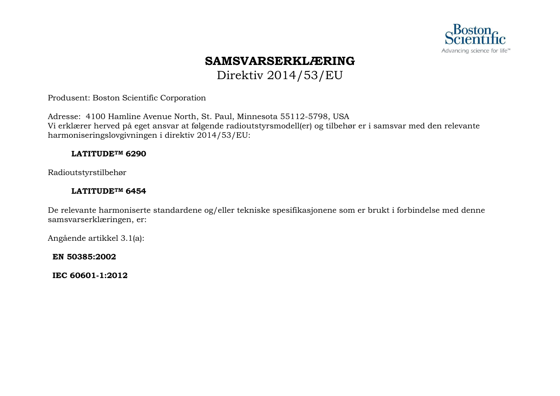

# **SAMSVARSERKLÆRING**

Direktiv 2014/53/EU

Produsent: Boston Scientific Corporation

Adresse: 4100 Hamline Avenue North, St. Paul, Minnesota 55112-5798, USA Vi erklærer herved på eget ansvar at følgende radioutstyrsmodell(er) og tilbehør er i samsvar med den relevante harmoniseringslovgivningen i direktiv 2014/53/EU:

#### **LATITUDETM 6290**

Radioutstyrstilbehør

#### **LATITUDETM 6454**

De relevante harmoniserte standardene og/eller tekniske spesifikasjonene som er brukt i forbindelse med denne samsvarserklæringen, er:

Angående artikkel 3.1(a):

**EN 50385:2002**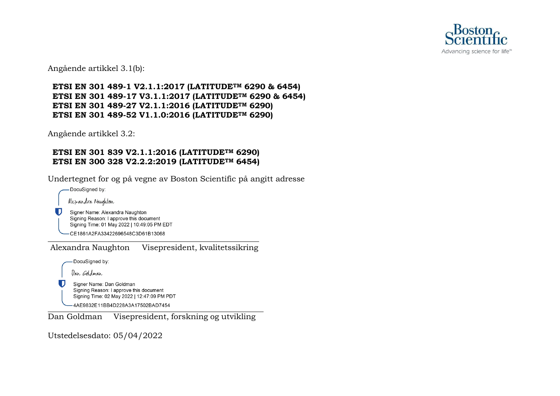

Angående artikkel 3.1(b):

#### **ETSI EN 301 489-1 V2.1.1:2017 (LATITUDETM 6290 & 6454) ETSI EN 301 489-17 V3.1.1:2017 (LATITUDETM 6290 & 6454) ETSI EN 301 489-27 V2.1.1:2016 (LATITUDETM 6290) ETSI EN 301 489-52 V1.1.0:2016 (LATITUDETM 6290)**

Angående artikkel 3.2:

#### **ETSI EN 301 839 V2.1.1:2016 (LATITUDETM 6290) ETSI EN 300 328 V2.2.2:2019 (LATITUDETM 6454)**

Undertegnet for og på vegne av Boston Scientific på angitt adresse

-DocuSigned by:

O

U

Alexandra Naughton

Signer Name: Alexandra Naughton Signing Reason: I approve this document Signing Time: 01 May 2022 | 10:49:05 PM EDT

CE1861A2FA33422696548C3D61B13068

Alexandra Naughton Visepresident, kvalitetssikring

DocuSigned by:

Dan Goldman

Signer Name: Dan Goldman Signing Reason: I approve this document Signing Time: 02 May 2022 | 12:47:09 PM PDT

4AE9832E11BB4D228A3A17502BAD7454

Dan Goldman Visepresident, forskning og utvikling

Utstedelsesdato: 05/04/2022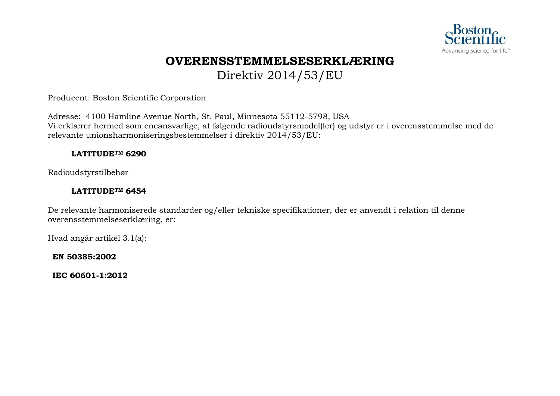

## **OVERENSSTEMMELSESERKLÆRING** Direktiv 2014/53/EU

Producent: Boston Scientific Corporation

Adresse: 4100 Hamline Avenue North, St. Paul, Minnesota 55112-5798, USA Vi erklærer hermed som eneansvarlige, at følgende radioudstyrsmodel(ler) og udstyr er i overensstemmelse med de relevante unionsharmoniseringsbestemmelser i direktiv 2014/53/EU:

#### **LATITUDETM 6290**

Radioudstyrstilbehør

#### **LATITUDETM 6454**

De relevante harmoniserede standarder og/eller tekniske specifikationer, der er anvendt i relation til denne overensstemmelseserklæring, er:

Hvad angår artikel 3.1(a):

**EN 50385:2002**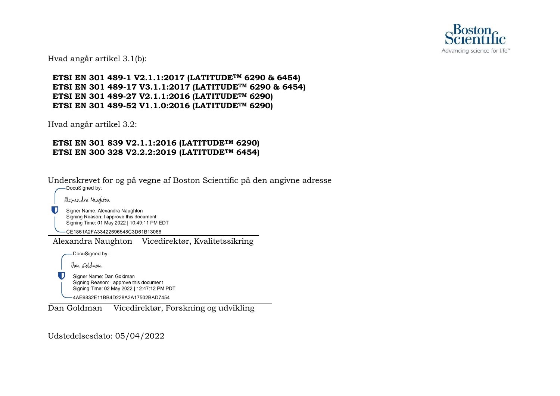

Hvad angår artikel 3.1(b):

**ETSI EN 301 489-1 V2.1.1:2017 (LATITUDETM 6290 & 6454) ETSI EN 301 489-17 V3.1.1:2017 (LATITUDETM 6290 & 6454) ETSI EN 301 489-27 V2.1.1:2016 (LATITUDETM 6290) ETSI EN 301 489-52 V1.1.0:2016 (LATITUDETM 6290)**

Hvad angår artikel 3.2:

#### **ETSI EN 301 839 V2.1.1:2016 (LATITUDETM 6290) ETSI EN 300 328 V2.2.2:2019 (LATITUDETM 6454)**

Underskrevet for og på vegne af Boston Scientific på den angivne adresse ales andra Naughton O Signer Name: Alexandra Naughton Signing Reason: I approve this document Signing Time: 01 May 2022 | 10:49:11 PM EDT -CE1861A2FA33422696548C3D61B13068 Alexandra Naughton Vicedirektør, Kvalitetssikring DocuSigned by: Dan Goldman Signer Name: Dan Goldman Signing Reason: I approve this document Signing Time: 02 May 2022 | 12:47:12 PM PDT 4AE9832E11BB4D228A3A17502BAD7454

Dan Goldman Vicedirektør, Forskning og udvikling

Udstedelsesdato: 05/04/2022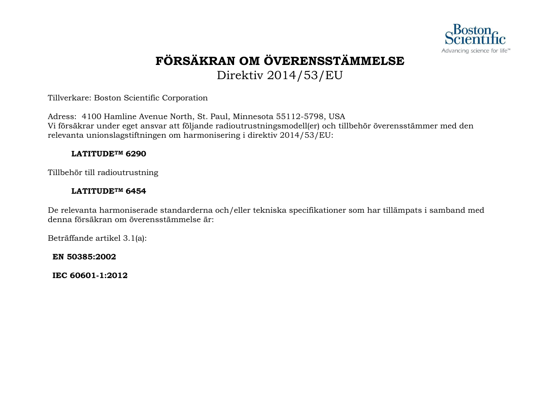

# **FÖRSÄKRAN OM ÖVERENSSTÄMMELSE**

Direktiv 2014/53/EU

Tillverkare: Boston Scientific Corporation

Adress: 4100 Hamline Avenue North, St. Paul, Minnesota 55112-5798, USA Vi försäkrar under eget ansvar att följande radioutrustningsmodell(er) och tillbehör överensstämmer med den relevanta unionslagstiftningen om harmonisering i direktiv 2014/53/EU:

#### **LATITUDETM 6290**

Tillbehör till radioutrustning

#### **LATITUDETM 6454**

De relevanta harmoniserade standarderna och/eller tekniska specifikationer som har tillämpats i samband med denna försäkran om överensstämmelse är:

Beträffande artikel 3.1(a):

**EN 50385:2002**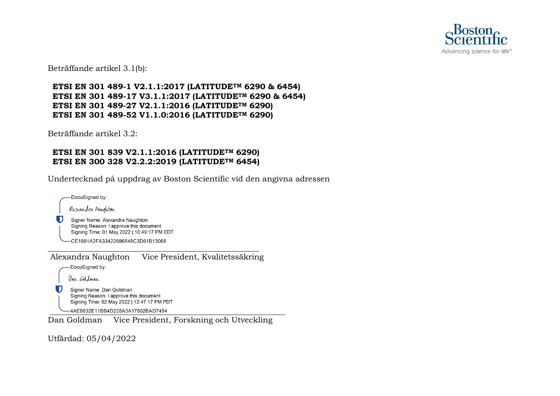

Beträffande artikel 3.1(b):

#### **ETSI EN 301 489-1 V2.1.1:2017 (LATITUDETM 6290 & 6454) ETSI EN 301 489-17 V3.1.1:2017 (LATITUDETM 6290 & 6454) ETSI EN 301 489-27 V2.1.1:2016 (LATITUDETM 6290) ETSI EN 301 489-52 V1.1.0:2016 (LATITUDETM 6290)**

Beträffande artikel 3.2:

#### **ETSI EN 301 839 V2.1.1:2016 (LATITUDETM 6290) ETSI EN 300 328 V2.2.2:2019 (LATITUDETM 6454)**

Undertecknad på uppdrag av Boston Scientific vid den angivna adressen

-DocuSigned by: Alexandra Naughton Signer Name: Alexandra Naughton Signing Reason: I approve this document Signing Time: 01 May 2022 | 10:49:17 PM EDT -CE1861A2FA33422696548C3D61B13068 Alexandra Naughton Vice President, Kvalitetssäkring -DocuSigned by: Dan Goldman

U Signer Name: Dan Goldman Signing Reason: I approve this document Signing Time: 02 May 2022 | 12:47:17 PM PDT

-4AE9832E11BB4D228A3A17502BAD7454

Dan Goldman Vice President, Forskning och Utveckling

Utfärdad: 05/04/2022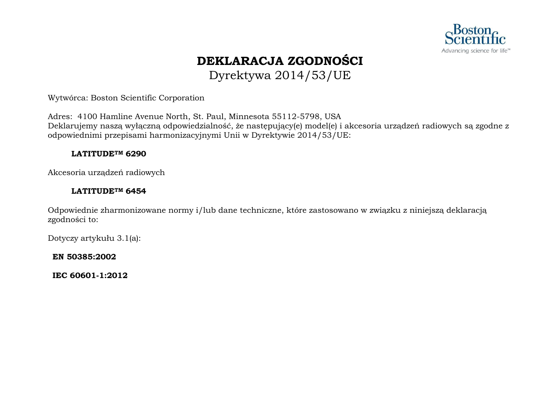

## **DEKLARACJA ZGODNOŚCI** Dyrektywa 2014/53/UE

Wytwórca: Boston Scientific Corporation

Adres: 4100 Hamline Avenue North, St. Paul, Minnesota 55112-5798, USA Deklarujemy naszą wyłączną odpowiedzialność, że następujący(e) model(e) i akcesoria urządzeń radiowych są zgodne z odpowiednimi przepisami harmonizacyjnymi Unii w Dyrektywie 2014/53/UE:

#### **LATITUDETM 6290**

Akcesoria urządzeń radiowych

#### **LATITUDETM 6454**

Odpowiednie zharmonizowane normy i/lub dane techniczne, które zastosowano w związku z niniejszą deklaracją zgodności to:

Dotyczy artykułu 3.1(a):

**EN 50385:2002**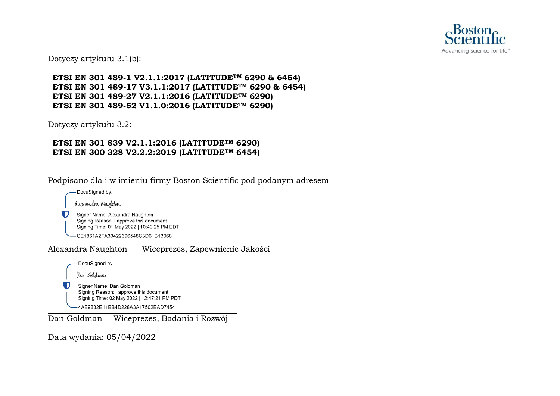

Dotyczy artykułu 3.1(b):

**ETSI EN 301 489-1 V2.1.1:2017 (LATITUDETM 6290 & 6454) ETSI EN 301 489-17 V3.1.1:2017 (LATITUDETM 6290 & 6454) ETSI EN 301 489-27 V2.1.1:2016 (LATITUDETM 6290) ETSI EN 301 489-52 V1.1.0:2016 (LATITUDETM 6290)**

Dotyczy artykułu 3.2:

#### **ETSI EN 301 839 V2.1.1:2016 (LATITUDETM 6290) ETSI EN 300 328 V2.2.2:2019 (LATITUDETM 6454)**

Podpisano dla i w imieniu firmy Boston Scientific pod podanym adresem

-DocuSigned by: Alexandra Naughton

O

Signer Name: Alexandra Naughton Signing Reason: I approve this document Signing Time: 01 May 2022 | 10:49:25 PM EDT

-CE1861A2FA33422696548C3D61B13068

Alexandra Naughton Wiceprezes, Zapewnienie Jakości

DocuSigned by:

Dan Goldman

Signer Name: Dan Goldman Signing Reason: I approve this document Signing Time: 02 May 2022 | 12:47:21 PM PDT

-4AE9832E11BB4D228A3A17502BAD7454

Dan Goldman Wiceprezes, Badania i Rozwój

Data wydania: 05/04/2022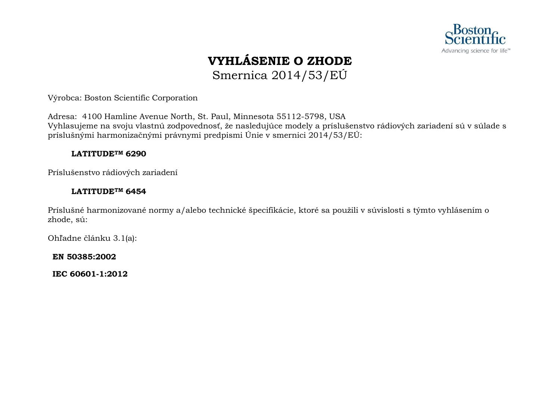

# **VYHLÁSENIE O ZHODE** Smernica 2014/53/EÚ

Výrobca: Boston Scientific Corporation

Adresa: 4100 Hamline Avenue North, St. Paul, Minnesota 55112-5798, USA Vyhlasujeme na svoju vlastnú zodpovednosť, že nasledujúce modely a príslušenstvo rádiových zariadení sú v súlade s príslušnými harmonizačnými právnymi predpismi Únie v smernici 2014/53/EÚ:

#### **LATITUDETM 6290**

Príslušenstvo rádiových zariadení

#### **LATITUDETM 6454**

Príslušné harmonizované normy a/alebo technické špecifikácie, ktoré sa použili v súvislosti s týmto vyhlásením o zhode, sú:

Ohľadne článku 3.1(a):

**EN 50385:2002**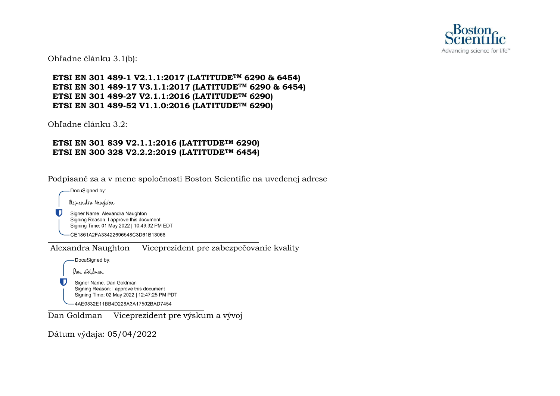

Ohľadne článku 3.1(b):

**ETSI EN 301 489-1 V2.1.1:2017 (LATITUDETM 6290 & 6454) ETSI EN 301 489-17 V3.1.1:2017 (LATITUDETM 6290 & 6454) ETSI EN 301 489-27 V2.1.1:2016 (LATITUDETM 6290) ETSI EN 301 489-52 V1.1.0:2016 (LATITUDETM 6290)**

Ohľadne článku 3.2:

#### **ETSI EN 301 839 V2.1.1:2016 (LATITUDETM 6290) ETSI EN 300 328 V2.2.2:2019 (LATITUDETM 6454)**

Podpísané za a v mene spoločnosti Boston Scientific na uvedenej adrese

-DocuSigned by: Alexandra Naughton Ð Signer Name: Alexandra Naughton Signing Reason: I approve this document Signing Time: 01 May 2022 | 10:49:32 PM EDT -CE1861A2FA33422696548C3D61B13068

Alexandra Naughton Viceprezident pre zabezpečovanie kvality

DocuSigned by:

Dan Goldman

Signer Name: Dan Goldman Signing Reason: I approve this document Signing Time: 02 May 2022 | 12:47:25 PM PDT -4AE9832E11BB4D228A3A17502BAD7454

Dan Goldman Viceprezident pre výskum a vývoj

Dátum výdaja: 05/04/2022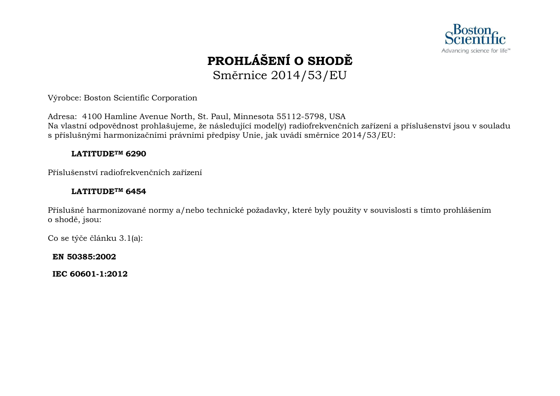

# **PROHLÁŠENÍ O SHODĚ** Směrnice 2014/53/EU

Výrobce: Boston Scientific Corporation

Adresa: 4100 Hamline Avenue North, St. Paul, Minnesota 55112-5798, USA Na vlastní odpovědnost prohlašujeme, že následující model(y) radiofrekvenčních zařízení a příslušenství jsou v souladu s příslušnými harmonizačními právními předpisy Unie, jak uvádí směrnice 2014/53/EU:

#### **LATITUDETM 6290**

Příslušenství radiofrekvenčních zařízení

#### **LATITUDETM 6454**

Příslušné harmonizované normy a/nebo technické požadavky, které byly použity v souvislosti s tímto prohlášením o shodě, jsou:

Co se týče článku 3.1(a):

**EN 50385:2002**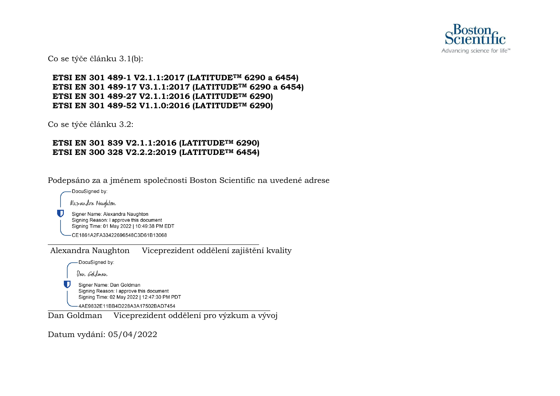

Co se týče článku 3.1(b):

**ETSI EN 301 489-1 V2.1.1:2017 (LATITUDETM 6290 a 6454) ETSI EN 301 489-17 V3.1.1:2017 (LATITUDETM 6290 a 6454) ETSI EN 301 489-27 V2.1.1:2016 (LATITUDETM 6290) ETSI EN 301 489-52 V1.1.0:2016 (LATITUDETM 6290)**

Co se týče článku 3.2:

#### **ETSI EN 301 839 V2.1.1:2016 (LATITUDETM 6290) ETSI EN 300 328 V2.2.2:2019 (LATITUDETM 6454)**

Podepsáno za a jménem společnosti Boston Scientific na uvedené adrese

DocuSigned by:

U

Alesandra Naughton

Signer Name: Alexandra Naughton Signing Reason: I approve this document Signing Time: 01 May 2022 | 10:49:38 PM EDT

-CE1861A2FA33422696548C3D61B13068

Alexandra Naughton Viceprezident oddělení zajištění kvality

-DocuSigned by:

Dan Goldman

Signer Name: Dan Goldman Signing Reason: I approve this document Signing Time: 02 May 2022 | 12:47:30 PM PDT

-4AE9832E11BB4D228A3A17502BAD7454

Dan Goldman Viceprezident oddělení pro výzkum a vývoj

Datum vydání: 05/04/2022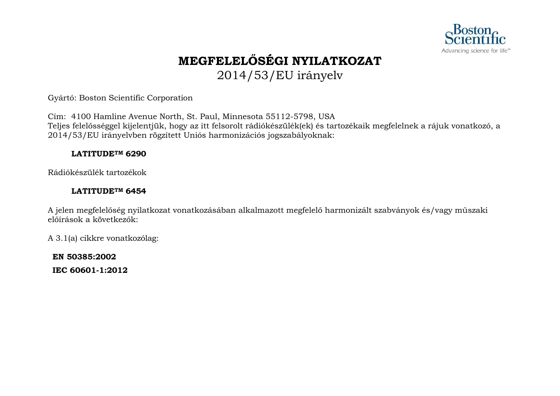

# **MEGFELELŐSÉGI NYILATKOZAT** 2014/53/EU irányelv

Gyártó: Boston Scientific Corporation

Cím: 4100 Hamline Avenue North, St. Paul, Minnesota 55112-5798, USA Teljes felelősséggel kijelentjük, hogy az itt felsorolt rádiókészülék(ek) és tartozékaik megfelelnek a rájuk vonatkozó, a 2014/53/EU irányelvben rögzített Uniós harmonizációs jogszabályoknak:

#### **LATITUDETM 6290**

Rádiókészülék tartozékok

#### **LATITUDETM 6454**

A jelen megfelelőség nyilatkozat vonatkozásában alkalmazott megfelelő harmonizált szabványok és/vagy műszaki előírások a következők:

A 3.1(a) cikkre vonatkozólag:

**EN 50385:2002**